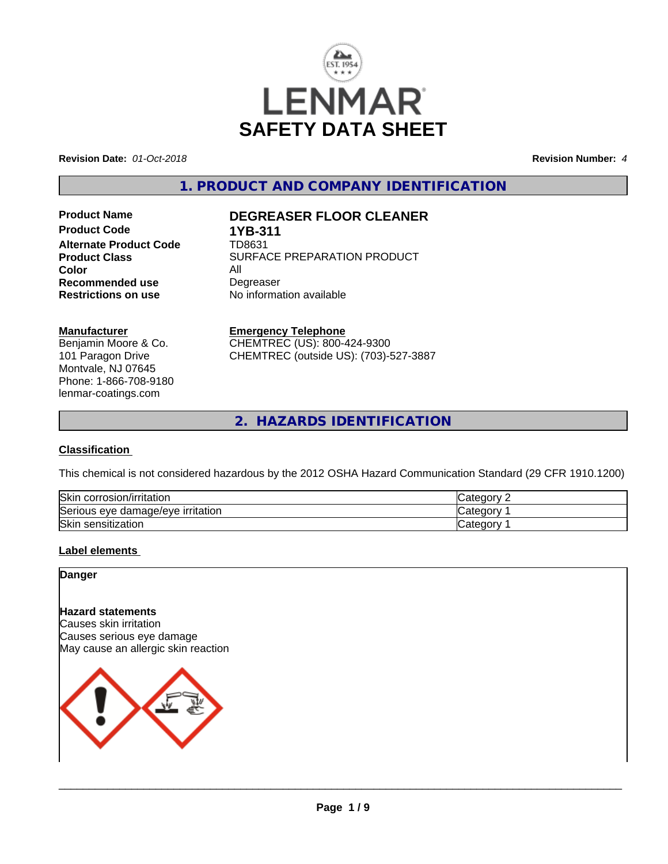

**Revision Date:** *01-Oct-2018* **Revision Number:** *4*

**1. PRODUCT AND COMPANY IDENTIFICATION**

**Product Code 1YB-311**<br> **Alternate Product Code 1D8631 Alternate Product Code Color**<br> **Recommended use Color Color Color Color Color Color Color Color Color Color Color Color Color Color Color Color Color Color Color Color Color Colo Recommended use**<br>Restrictions on use

# **Product Name DEGREASER FLOOR CLEANER**

**Product Class SURFACE PREPARATION PRODUCT Restrictions on use** No information available

**Manufacturer**

Benjamin Moore & Co. 101 Paragon Drive Montvale, NJ 07645 Phone: 1-866-708-9180 lenmar-coatings.com

# **Emergency Telephone**

CHEMTREC (US): 800-424-9300 CHEMTREC (outside US): (703)-527-3887

**2. HAZARDS IDENTIFICATION**

# **Classification**

This chemical is not considered hazardous by the 2012 OSHA Hazard Communication Standard (29 CFR 1910.1200)

| <b>Skin</b><br>corrosion/irritation | Category        |
|-------------------------------------|-----------------|
| Serious eye damage/eye irritation   | <b>Category</b> |
| Skin<br>sensitization               | Category        |

# **Label elements**

**Danger**

**Hazard statements**

Causes skin irritation

Causes serious eye damage May cause an allergic skin reaction

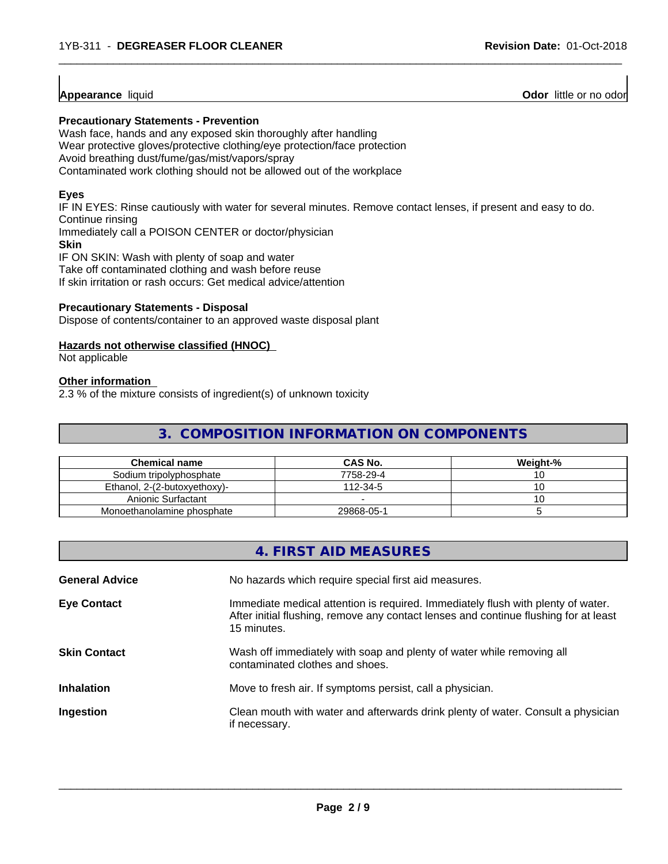**Appearance** liquid **Contract Contract Contract Contract Contract Contract Contract Contract Contract Contract Contract Contract Contract Contract Contract Contract Contract Contract Contract Contract Contract Contract Con** 

# **Precautionary Statements - Prevention**

Wash face, hands and any exposed skin thoroughly after handling Wear protective gloves/protective clothing/eye protection/face protection Avoid breathing dust/fume/gas/mist/vapors/spray Contaminated work clothing should not be allowed out of the workplace

### **Eyes**

IF IN EYES: Rinse cautiously with water forseveral minutes. Remove contact lenses, if present and easy to do. Continue rinsing

 $\overline{\phantom{a}}$  ,  $\overline{\phantom{a}}$  ,  $\overline{\phantom{a}}$  ,  $\overline{\phantom{a}}$  ,  $\overline{\phantom{a}}$  ,  $\overline{\phantom{a}}$  ,  $\overline{\phantom{a}}$  ,  $\overline{\phantom{a}}$  ,  $\overline{\phantom{a}}$  ,  $\overline{\phantom{a}}$  ,  $\overline{\phantom{a}}$  ,  $\overline{\phantom{a}}$  ,  $\overline{\phantom{a}}$  ,  $\overline{\phantom{a}}$  ,  $\overline{\phantom{a}}$  ,  $\overline{\phantom{a}}$ 

Immediately call a POISON CENTER or doctor/physician **Skin** IF ON SKIN: Wash with plenty of soap and water

Take off contaminated clothing and wash before reuse

If skin irritation or rash occurs: Get medical advice/attention

# **Precautionary Statements - Disposal**

Dispose of contents/container to an approved waste disposal plant

# **Hazards not otherwise classified (HNOC)**

Not applicable

### **Other information**

2.3 % of the mixture consists of ingredient(s) of unknown toxicity

# **3. COMPOSITION INFORMATION ON COMPONENTS**

| Chemical name                | <b>CAS No.</b> | Weight-% |
|------------------------------|----------------|----------|
| Sodium tripolyphosphate      | 7758-29-4      |          |
| Ethanol, 2-(2-butoxyethoxy)- | 112-34-5       |          |
| Anionic Surfactant           |                |          |
| Monoethanolamine phosphate   | 29868-05-1     |          |

# **4. FIRST AID MEASURES**

| <b>General Advice</b> | No hazards which require special first aid measures.                                                                                                                                    |
|-----------------------|-----------------------------------------------------------------------------------------------------------------------------------------------------------------------------------------|
| <b>Eye Contact</b>    | Immediate medical attention is required. Immediately flush with plenty of water.<br>After initial flushing, remove any contact lenses and continue flushing for at least<br>15 minutes. |
| <b>Skin Contact</b>   | Wash off immediately with soap and plenty of water while removing all<br>contaminated clothes and shoes.                                                                                |
| <b>Inhalation</b>     | Move to fresh air. If symptoms persist, call a physician.                                                                                                                               |
| Ingestion             | Clean mouth with water and afterwards drink plenty of water. Consult a physician<br>if necessary.                                                                                       |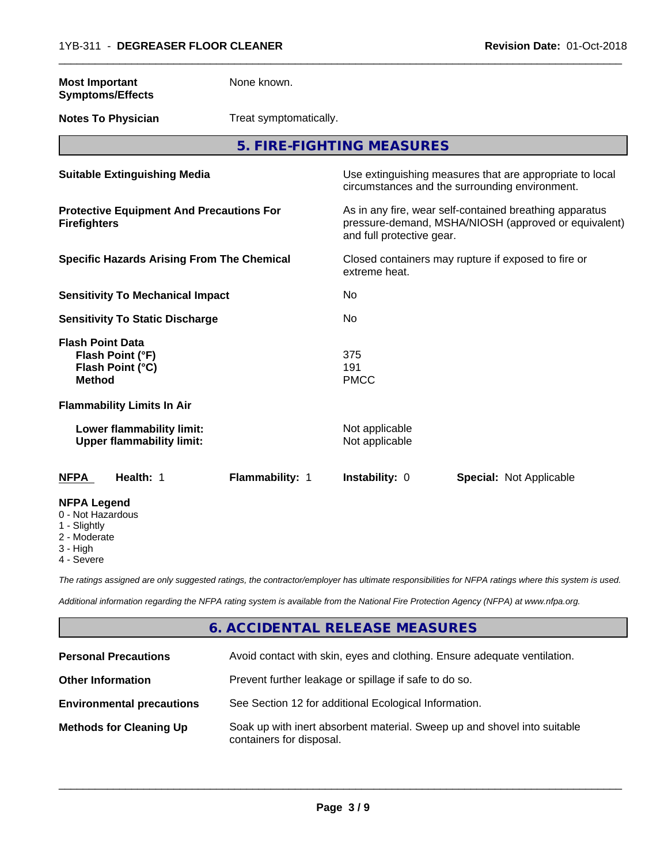| <b>Most Important</b><br><b>Symptoms/Effects</b>                                                                      | None known.            |                                  |                                                                                                                 |
|-----------------------------------------------------------------------------------------------------------------------|------------------------|----------------------------------|-----------------------------------------------------------------------------------------------------------------|
| <b>Notes To Physician</b>                                                                                             | Treat symptomatically. |                                  |                                                                                                                 |
|                                                                                                                       |                        | 5. FIRE-FIGHTING MEASURES        |                                                                                                                 |
| <b>Suitable Extinguishing Media</b>                                                                                   |                        |                                  | Use extinguishing measures that are appropriate to local<br>circumstances and the surrounding environment.      |
| <b>Protective Equipment And Precautions For</b><br><b>Firefighters</b>                                                |                        | and full protective gear.        | As in any fire, wear self-contained breathing apparatus<br>pressure-demand, MSHA/NIOSH (approved or equivalent) |
| <b>Specific Hazards Arising From The Chemical</b>                                                                     |                        | extreme heat.                    | Closed containers may rupture if exposed to fire or                                                             |
| <b>Sensitivity To Mechanical Impact</b>                                                                               |                        | No                               |                                                                                                                 |
| <b>Sensitivity To Static Discharge</b>                                                                                |                        | No                               |                                                                                                                 |
| <b>Flash Point Data</b><br>Flash Point (°F)<br>Flash Point (°C)<br><b>Method</b><br><b>Flammability Limits In Air</b> |                        | 375<br>191<br><b>PMCC</b>        |                                                                                                                 |
| Lower flammability limit:<br><b>Upper flammability limit:</b>                                                         |                        | Not applicable<br>Not applicable |                                                                                                                 |
| Health: 1<br><b>NFPA</b>                                                                                              | <b>Flammability: 1</b> | Instability: 0                   | <b>Special: Not Applicable</b>                                                                                  |
| <b>NFPA Legend</b><br>0 - Not Hazardous<br>1 - Slightly<br>2 - Moderate<br>3 - High<br>4 - Severe                     |                        |                                  |                                                                                                                 |

 $\overline{\phantom{a}}$  ,  $\overline{\phantom{a}}$  ,  $\overline{\phantom{a}}$  ,  $\overline{\phantom{a}}$  ,  $\overline{\phantom{a}}$  ,  $\overline{\phantom{a}}$  ,  $\overline{\phantom{a}}$  ,  $\overline{\phantom{a}}$  ,  $\overline{\phantom{a}}$  ,  $\overline{\phantom{a}}$  ,  $\overline{\phantom{a}}$  ,  $\overline{\phantom{a}}$  ,  $\overline{\phantom{a}}$  ,  $\overline{\phantom{a}}$  ,  $\overline{\phantom{a}}$  ,  $\overline{\phantom{a}}$ 

*The ratings assigned are only suggested ratings, the contractor/employer has ultimate responsibilities for NFPA ratings where this system is used.*

*Additional information regarding the NFPA rating system is available from the National Fire Protection Agency (NFPA) at www.nfpa.org.*

# **6. ACCIDENTAL RELEASE MEASURES**

| <b>Personal Precautions</b>      | Avoid contact with skin, eyes and clothing. Ensure adequate ventilation.                             |
|----------------------------------|------------------------------------------------------------------------------------------------------|
| <b>Other Information</b>         | Prevent further leakage or spillage if safe to do so.                                                |
| <b>Environmental precautions</b> | See Section 12 for additional Ecological Information.                                                |
| <b>Methods for Cleaning Up</b>   | Soak up with inert absorbent material. Sweep up and shovel into suitable<br>containers for disposal. |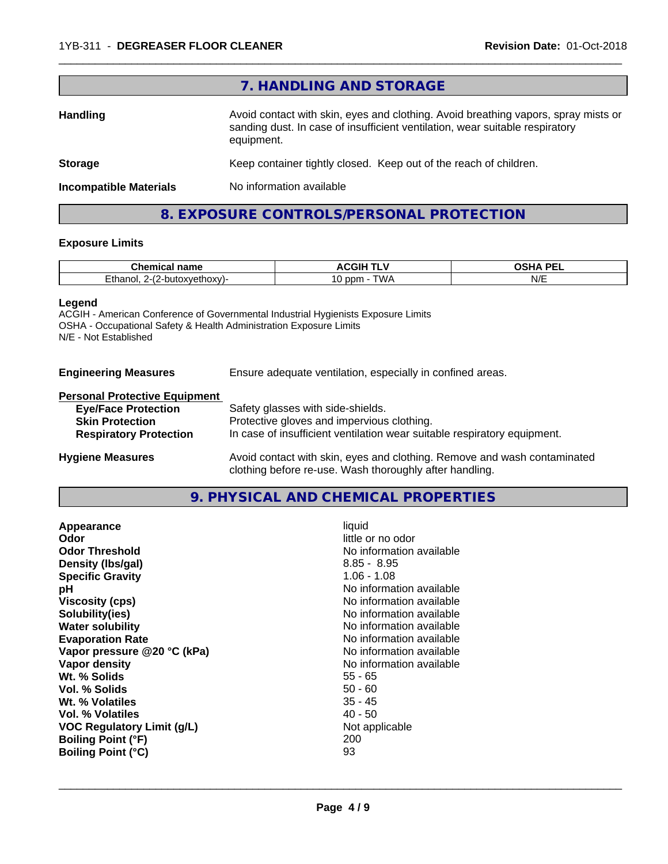|                               | 7. HANDLING AND STORAGE                                                                                                                                                          |
|-------------------------------|----------------------------------------------------------------------------------------------------------------------------------------------------------------------------------|
| <b>Handling</b>               | Avoid contact with skin, eyes and clothing. Avoid breathing vapors, spray mists or<br>sanding dust. In case of insufficient ventilation, wear suitable respiratory<br>equipment. |
| <b>Storage</b>                | Keep container tightly closed. Keep out of the reach of children.                                                                                                                |
| <b>Incompatible Materials</b> | No information available                                                                                                                                                         |

 $\overline{\phantom{a}}$  ,  $\overline{\phantom{a}}$  ,  $\overline{\phantom{a}}$  ,  $\overline{\phantom{a}}$  ,  $\overline{\phantom{a}}$  ,  $\overline{\phantom{a}}$  ,  $\overline{\phantom{a}}$  ,  $\overline{\phantom{a}}$  ,  $\overline{\phantom{a}}$  ,  $\overline{\phantom{a}}$  ,  $\overline{\phantom{a}}$  ,  $\overline{\phantom{a}}$  ,  $\overline{\phantom{a}}$  ,  $\overline{\phantom{a}}$  ,  $\overline{\phantom{a}}$  ,  $\overline{\phantom{a}}$ 

# **8. EXPOSURE CONTROLS/PERSONAL PROTECTION**

# **Exposure Limits**

| <b>Chemic</b><br>name<br>. а    | ----<br>. .<br>aan<br>л.     | <b>DEI</b><br>.<br>ш л<br><br>--     |
|---------------------------------|------------------------------|--------------------------------------|
| ∠thar<br>butoxvethoxv)-<br>noi. | <b>TWL</b><br>nnm<br>JU<br>- | $\cdot$ $\cdot$ $\cdot$<br>NI/I<br>. |

#### **Legend**

ACGIH - American Conference of Governmental Industrial Hygienists Exposure Limits OSHA - Occupational Safety & Health Administration Exposure Limits N/E - Not Established

**Engineering Measures** Ensure adequate ventilation, especially in confined areas.

# **Personal Protective Equipment**

| <b>Eye/Face Protection</b>    | Safety glasses with side-shields.                                        |
|-------------------------------|--------------------------------------------------------------------------|
| <b>Skin Protection</b>        | Protective gloves and impervious clothing.                               |
| <b>Respiratory Protection</b> | In case of insufficient ventilation wear suitable respiratory equipment. |
| Uusiana Maaausaa              | buoid contact with align avec and alathing. Bemove and week contaminated |

**Hygiene Measures** Avoid contact with skin, eyes and clothing. Remove and wash contaminated clothing before re-use. Wash thoroughly after handling.

# **9. PHYSICAL AND CHEMICAL PROPERTIES**

| Appearance                        | liquid                   |
|-----------------------------------|--------------------------|
| Odor                              | little or no odor        |
| <b>Odor Threshold</b>             | No information available |
| Density (Ibs/gal)                 | $8.85 - 8.95$            |
| <b>Specific Gravity</b>           | $1.06 - 1.08$            |
| рH                                | No information available |
| <b>Viscosity (cps)</b>            | No information available |
| Solubility(ies)                   | No information available |
| <b>Water solubility</b>           | No information available |
| <b>Evaporation Rate</b>           | No information available |
| Vapor pressure @20 °C (kPa)       | No information available |
| Vapor density                     | No information available |
| Wt. % Solids                      | $55 - 65$                |
| Vol. % Solids                     | $50 - 60$                |
| Wt. % Volatiles                   | $35 - 45$                |
| Vol. % Volatiles                  | $40 - 50$                |
| <b>VOC Regulatory Limit (g/L)</b> | Not applicable           |
| <b>Boiling Point (°F)</b>         | 200                      |
| <b>Boiling Point (°C)</b>         | 93                       |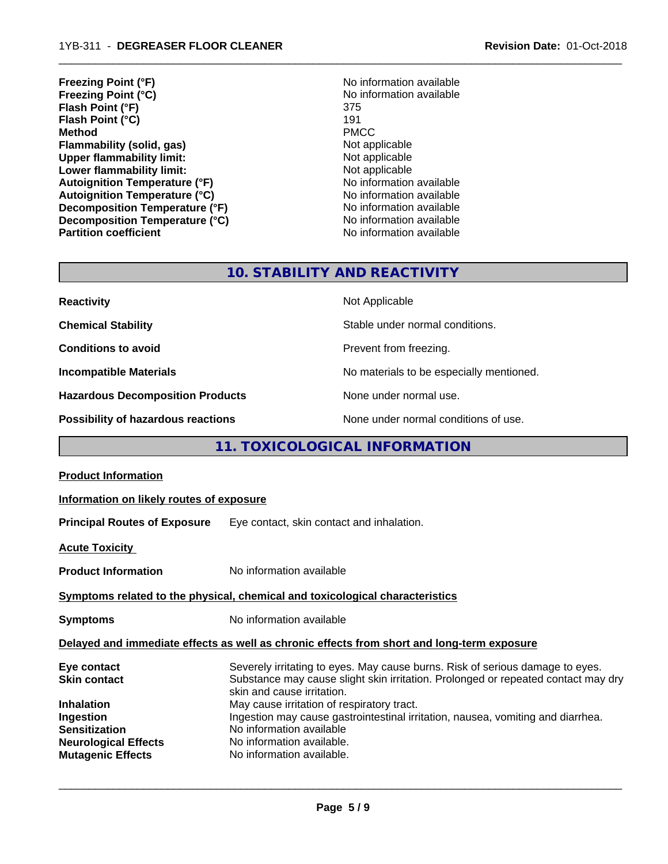**Freezing Point (°F)**<br> **Freezing Point (°C)**<br> **Freezing Point (°C)**<br> **No** information available **Freezing Point (°C)** No information available to the No information and No information and No information and N<br>The State of the State of the State of the State of the State of the State of the State of the State of the S **Flash Point (°F)** 375<br> **Flash Point (°C)** 375 **Flash Point (°C)** 191<br> **Method** PMCC **Method** PMCC **Flammability (solid, gas)**<br> **Upper flammability limit:**<br>
Upper flammability limit:<br>  $\begin{array}{ccc}\n\bullet & \bullet & \bullet \\
\bullet & \bullet & \bullet\n\end{array}$ **Upper flammability limit:**<br> **Lower flammability limit:**<br>
Lower flammability limit:<br>  $\begin{array}{ccc}\n\bullet & \bullet & \bullet \\
\bullet & \bullet & \bullet\n\end{array}$  Not applicable **Lower flammability limit:**<br> **Autoignition Temperature (°F)** Not applicable available and the Mustafable and Mustafable and Mustafable and Mu **Autoignition Temperature (°F)**<br> **Autoignition Temperature (°C)** No information available **Autoignition Temperature (°C) Decomposition Temperature (°F)**<br> **Decomposition Temperature (°C)**<br>
No information available<br>
No information available **Decomposition Temperature (°C)**<br>Partition coefficient

**No information available** 

 $\overline{\phantom{a}}$  ,  $\overline{\phantom{a}}$  ,  $\overline{\phantom{a}}$  ,  $\overline{\phantom{a}}$  ,  $\overline{\phantom{a}}$  ,  $\overline{\phantom{a}}$  ,  $\overline{\phantom{a}}$  ,  $\overline{\phantom{a}}$  ,  $\overline{\phantom{a}}$  ,  $\overline{\phantom{a}}$  ,  $\overline{\phantom{a}}$  ,  $\overline{\phantom{a}}$  ,  $\overline{\phantom{a}}$  ,  $\overline{\phantom{a}}$  ,  $\overline{\phantom{a}}$  ,  $\overline{\phantom{a}}$ 

# **10. STABILITY AND REACTIVITY**

| <b>Reactivity</b>                       | Not Applicable                           |
|-----------------------------------------|------------------------------------------|
| <b>Chemical Stability</b>               | Stable under normal conditions.          |
| <b>Conditions to avoid</b>              | Prevent from freezing.                   |
| <b>Incompatible Materials</b>           | No materials to be especially mentioned. |
| <b>Hazardous Decomposition Products</b> | None under normal use.                   |
| Possibility of hazardous reactions      | None under normal conditions of use.     |

# **11. TOXICOLOGICAL INFORMATION**

| <b>Product Information</b>                                                                                        |                                                                                                                                                                                                                     |  |  |
|-------------------------------------------------------------------------------------------------------------------|---------------------------------------------------------------------------------------------------------------------------------------------------------------------------------------------------------------------|--|--|
| Information on likely routes of exposure                                                                          |                                                                                                                                                                                                                     |  |  |
| <b>Principal Routes of Exposure</b>                                                                               | Eye contact, skin contact and inhalation.                                                                                                                                                                           |  |  |
| <b>Acute Toxicity</b>                                                                                             |                                                                                                                                                                                                                     |  |  |
| <b>Product Information</b>                                                                                        | No information available                                                                                                                                                                                            |  |  |
|                                                                                                                   | Symptoms related to the physical, chemical and toxicological characteristics                                                                                                                                        |  |  |
| <b>Symptoms</b>                                                                                                   | No information available                                                                                                                                                                                            |  |  |
|                                                                                                                   | Delayed and immediate effects as well as chronic effects from short and long-term exposure                                                                                                                          |  |  |
| Eye contact<br><b>Skin contact</b>                                                                                | Severely irritating to eyes. May cause burns. Risk of serious damage to eyes.<br>Substance may cause slight skin irritation. Prolonged or repeated contact may dry<br>skin and cause irritation.                    |  |  |
| <b>Inhalation</b><br>Ingestion<br><b>Sensitization</b><br><b>Neurological Effects</b><br><b>Mutagenic Effects</b> | May cause irritation of respiratory tract.<br>Ingestion may cause gastrointestinal irritation, nausea, vomiting and diarrhea.<br>No information available<br>No information available.<br>No information available. |  |  |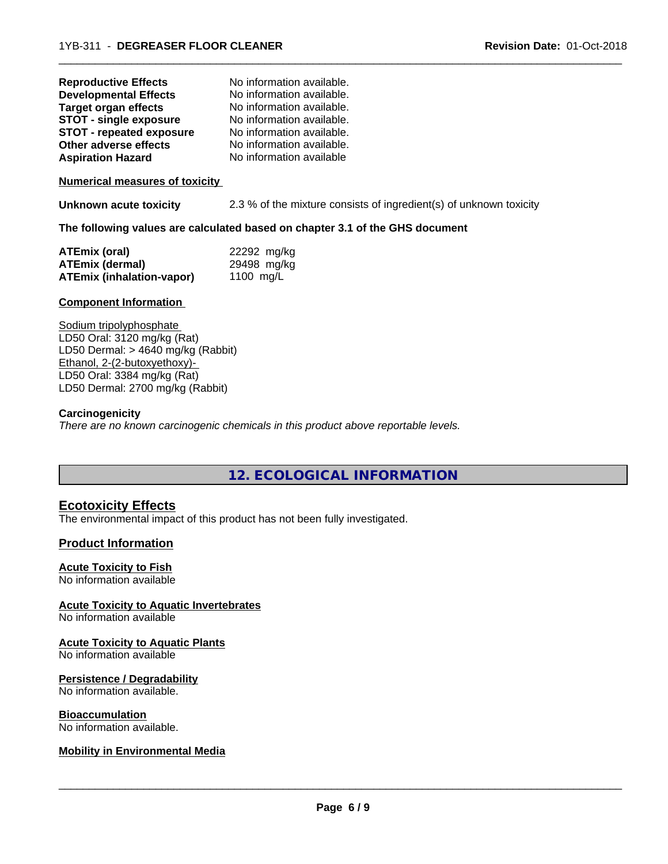| <b>Reproductive Effects</b>     | No information available. |
|---------------------------------|---------------------------|
| <b>Developmental Effects</b>    | No information available. |
| <b>Target organ effects</b>     | No information available. |
| <b>STOT - single exposure</b>   | No information available. |
| <b>STOT - repeated exposure</b> | No information available. |
| Other adverse effects           | No information available. |
| <b>Aspiration Hazard</b>        | No information available  |

#### **Numerical measures of toxicity**

**Unknown acute toxicity** 2.3 % of the mixture consists of ingredient(s) of unknown toxicity

 $\overline{\phantom{a}}$  ,  $\overline{\phantom{a}}$  ,  $\overline{\phantom{a}}$  ,  $\overline{\phantom{a}}$  ,  $\overline{\phantom{a}}$  ,  $\overline{\phantom{a}}$  ,  $\overline{\phantom{a}}$  ,  $\overline{\phantom{a}}$  ,  $\overline{\phantom{a}}$  ,  $\overline{\phantom{a}}$  ,  $\overline{\phantom{a}}$  ,  $\overline{\phantom{a}}$  ,  $\overline{\phantom{a}}$  ,  $\overline{\phantom{a}}$  ,  $\overline{\phantom{a}}$  ,  $\overline{\phantom{a}}$ 

#### **The following values are calculated based on chapter 3.1 of the GHS document**

| ATEmix (oral)                    | 22292 mg/kg |
|----------------------------------|-------------|
| <b>ATEmix (dermal)</b>           | 29498 mg/kg |
| <b>ATEmix (inhalation-vapor)</b> | 1100 mg/L   |

#### **Component Information**

Sodium tripolyphosphate LD50 Oral: 3120 mg/kg (Rat) LD50 Dermal: > 4640 mg/kg (Rabbit) Ethanol, 2-(2-butoxyethoxy)- LD50 Oral: 3384 mg/kg (Rat) LD50 Dermal: 2700 mg/kg (Rabbit)

# **Carcinogenicity**

*There are no known carcinogenic chemicals in this product above reportable levels.*

# **12. ECOLOGICAL INFORMATION**

# **Ecotoxicity Effects**

The environmental impact of this product has not been fully investigated.

# **Product Information**

# **Acute Toxicity to Fish**

No information available

# **Acute Toxicity to Aquatic Invertebrates**

No information available

# **Acute Toxicity to Aquatic Plants**

No information available

# **Persistence / Degradability**

No information available.

# **Bioaccumulation**

No information available.

# **Mobility in Environmental Media**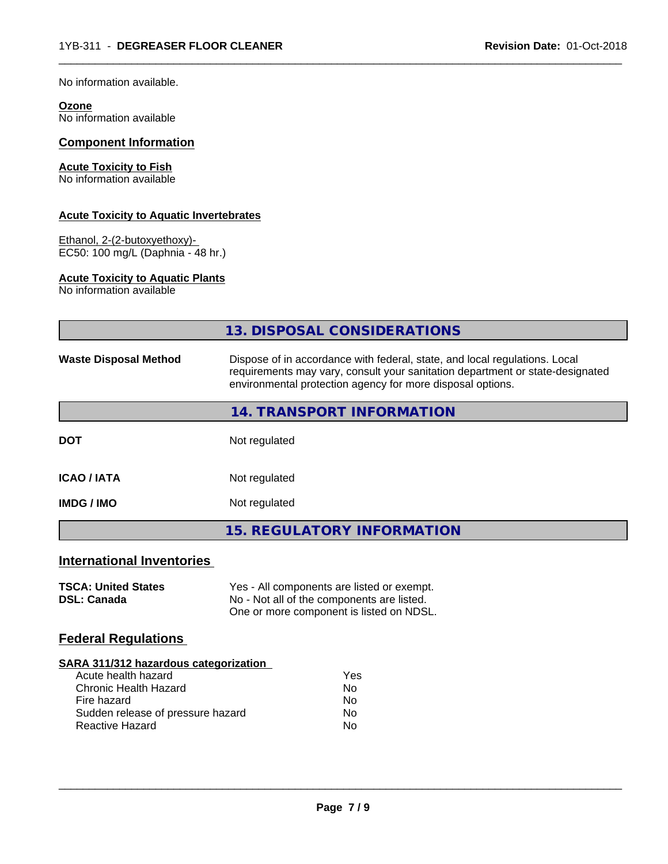No information available.

#### **Ozone** No information available

# **Component Information**

# **Acute Toxicity to Fish**

No information available

# **Acute Toxicity to Aquatic Invertebrates**

Ethanol, 2-(2-butoxyethoxy)- EC50: 100 mg/L (Daphnia - 48 hr.)

# **Acute Toxicity to Aquatic Plants**

No information available

|                                  | 13. DISPOSAL CONSIDERATIONS                                                                                                                                                                                               |
|----------------------------------|---------------------------------------------------------------------------------------------------------------------------------------------------------------------------------------------------------------------------|
| <b>Waste Disposal Method</b>     | Dispose of in accordance with federal, state, and local regulations. Local<br>requirements may vary, consult your sanitation department or state-designated<br>environmental protection agency for more disposal options. |
|                                  | 14. TRANSPORT INFORMATION                                                                                                                                                                                                 |
| <b>DOT</b>                       | Not regulated                                                                                                                                                                                                             |
| <b>ICAO / IATA</b>               | Not regulated                                                                                                                                                                                                             |
| <b>IMDG / IMO</b>                | Not regulated                                                                                                                                                                                                             |
|                                  | <b>15. REGULATORY INFORMATION</b>                                                                                                                                                                                         |
| <b>International Inventories</b> |                                                                                                                                                                                                                           |

 $\overline{\phantom{a}}$  ,  $\overline{\phantom{a}}$  ,  $\overline{\phantom{a}}$  ,  $\overline{\phantom{a}}$  ,  $\overline{\phantom{a}}$  ,  $\overline{\phantom{a}}$  ,  $\overline{\phantom{a}}$  ,  $\overline{\phantom{a}}$  ,  $\overline{\phantom{a}}$  ,  $\overline{\phantom{a}}$  ,  $\overline{\phantom{a}}$  ,  $\overline{\phantom{a}}$  ,  $\overline{\phantom{a}}$  ,  $\overline{\phantom{a}}$  ,  $\overline{\phantom{a}}$  ,  $\overline{\phantom{a}}$ 

| <b>TSCA: United States</b> | Yes - All components are listed or exempt. |
|----------------------------|--------------------------------------------|
| <b>DSL: Canada</b>         | No - Not all of the components are listed. |
|                            | One or more component is listed on NDSL.   |

# **Federal Regulations**

# **SARA 311/312 hazardous categorization**

| Acute health hazard               | Yes |
|-----------------------------------|-----|
| Chronic Health Hazard             | Nο  |
| Fire hazard                       | Nο  |
| Sudden release of pressure hazard | N٥  |
| Reactive Hazard                   | N٥  |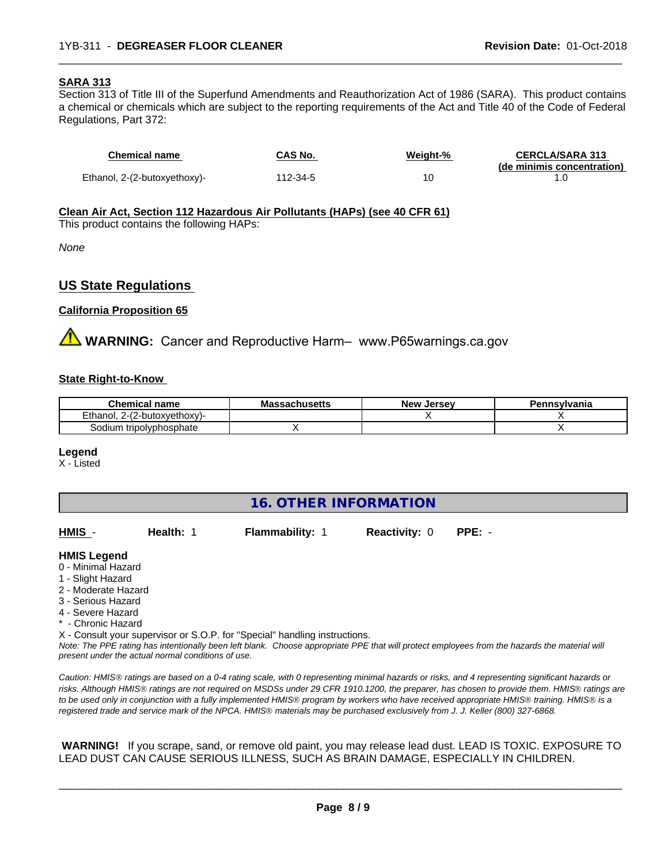# **SARA 313**

Section 313 of Title III of the Superfund Amendments and Reauthorization Act of 1986 (SARA). This product contains a chemical or chemicals which are subject to the reporting requirements of the Act and Title 40 of the Code of Federal Regulations, Part 372:

| Chemical name                | CAS No.  | Weight-% | <b>CERCLA/SARA 313</b><br>(de minimis concentration) |
|------------------------------|----------|----------|------------------------------------------------------|
| Ethanol, 2-(2-butoxyethoxy)- | 112-34-5 |          |                                                      |

 $\overline{\phantom{a}}$  ,  $\overline{\phantom{a}}$  ,  $\overline{\phantom{a}}$  ,  $\overline{\phantom{a}}$  ,  $\overline{\phantom{a}}$  ,  $\overline{\phantom{a}}$  ,  $\overline{\phantom{a}}$  ,  $\overline{\phantom{a}}$  ,  $\overline{\phantom{a}}$  ,  $\overline{\phantom{a}}$  ,  $\overline{\phantom{a}}$  ,  $\overline{\phantom{a}}$  ,  $\overline{\phantom{a}}$  ,  $\overline{\phantom{a}}$  ,  $\overline{\phantom{a}}$  ,  $\overline{\phantom{a}}$ 

### **Clean Air Act,Section 112 Hazardous Air Pollutants (HAPs) (see 40 CFR 61)**

This product contains the following HAPs:

*None*

# **US State Regulations**

#### **California Proposition 65**

**AN** WARNING: Cancer and Reproductive Harm– www.P65warnings.ca.gov

#### **State Right-to-Know**

| Chemical<br>name              | $\sim$ , and the $\sim$<br>IVIA<br>aduliuscilo | ∴Jersev<br><b>Nev</b> | ำทรงIvania |
|-------------------------------|------------------------------------------------|-----------------------|------------|
| Ethanol<br>∽<br>utoxvethoxv)- |                                                |                       |            |
| ≞tripol∨phosphate<br>sodium   |                                                |                       |            |

#### **Legend**

X - Listed

| <b>16. OTHER INFORMATION</b> |
|------------------------------|
|------------------------------|

| HMIS -              | Health: 1 | <b>Flammability: 1</b>                                                     | <b>Reactivity: 0</b> | $PPE: -$                                                                                                                                      |
|---------------------|-----------|----------------------------------------------------------------------------|----------------------|-----------------------------------------------------------------------------------------------------------------------------------------------|
| <b>HMIS Legend</b>  |           |                                                                            |                      |                                                                                                                                               |
| 0 - Minimal Hazard  |           |                                                                            |                      |                                                                                                                                               |
| 1 - Slight Hazard   |           |                                                                            |                      |                                                                                                                                               |
| 2 - Moderate Hazard |           |                                                                            |                      |                                                                                                                                               |
| 3 - Serious Hazard  |           |                                                                            |                      |                                                                                                                                               |
| 4 - Severe Hazard   |           |                                                                            |                      |                                                                                                                                               |
| * - Chronic Hazard  |           |                                                                            |                      |                                                                                                                                               |
|                     |           | X - Consult your supervisor or S.O.P. for "Special" handling instructions. |                      |                                                                                                                                               |
|                     |           |                                                                            |                      | Note: The PPE rating has intentionally been left blank. Choose appropriate PPE that will protect employees from the hazards the material will |

*present under the actual normal conditions of use.*

*Caution: HMISÒ ratings are based on a 0-4 rating scale, with 0 representing minimal hazards or risks, and 4 representing significant hazards or risks. Although HMISÒ ratings are not required on MSDSs under 29 CFR 1910.1200, the preparer, has chosen to provide them. HMISÒ ratings are to be used only in conjunction with a fully implemented HMISÒ program by workers who have received appropriate HMISÒ training. HMISÒ is a registered trade and service mark of the NPCA. HMISÒ materials may be purchased exclusively from J. J. Keller (800) 327-6868.*

 **WARNING!** If you scrape, sand, or remove old paint, you may release lead dust. LEAD IS TOXIC. EXPOSURE TO LEAD DUST CAN CAUSE SERIOUS ILLNESS, SUCH AS BRAIN DAMAGE, ESPECIALLY IN CHILDREN.